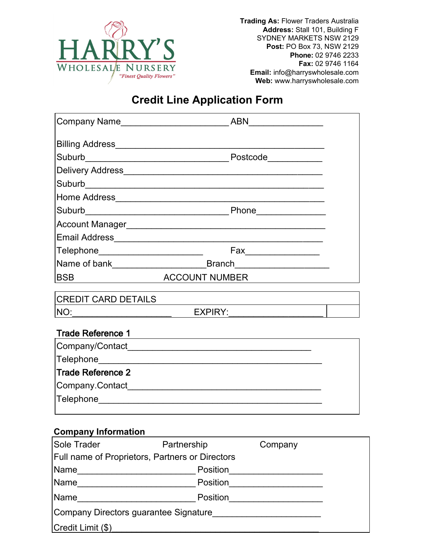

**Trading As:** Flower Traders Australia **Address:** Stall 101, Building F SYDNEY MARKETS NSW 2129 **Post:** PO Box 73, NSW 2129 **Phone:** 02 9746 2233 **Fax:** 02 9746 1164 **Email:** info@harryswholesale.com **Web:** www.harryswholesale.com

## **Credit Line Application Form**

| Company Name                                    | <b>ABN</b>                                              |                                                                                                                                                                                                                                                                                                                                                                     |  |
|-------------------------------------------------|---------------------------------------------------------|---------------------------------------------------------------------------------------------------------------------------------------------------------------------------------------------------------------------------------------------------------------------------------------------------------------------------------------------------------------------|--|
|                                                 |                                                         |                                                                                                                                                                                                                                                                                                                                                                     |  |
|                                                 |                                                         |                                                                                                                                                                                                                                                                                                                                                                     |  |
|                                                 |                                                         |                                                                                                                                                                                                                                                                                                                                                                     |  |
|                                                 |                                                         |                                                                                                                                                                                                                                                                                                                                                                     |  |
|                                                 |                                                         |                                                                                                                                                                                                                                                                                                                                                                     |  |
|                                                 |                                                         |                                                                                                                                                                                                                                                                                                                                                                     |  |
|                                                 |                                                         |                                                                                                                                                                                                                                                                                                                                                                     |  |
|                                                 |                                                         |                                                                                                                                                                                                                                                                                                                                                                     |  |
| Telephone_________________________              |                                                         | $\begin{picture}(20,10) \put(0,0){\vector(1,0){100}} \put(15,0){\vector(1,0){100}} \put(15,0){\vector(1,0){100}} \put(15,0){\vector(1,0){100}} \put(15,0){\vector(1,0){100}} \put(15,0){\vector(1,0){100}} \put(15,0){\vector(1,0){100}} \put(15,0){\vector(1,0){100}} \put(15,0){\vector(1,0){100}} \put(15,0){\vector(1,0){100}} \put(15,0){\vector(1,0){100}} \$ |  |
|                                                 | Name of bank <b>Example 2018</b> Branch <b>Reserves</b> |                                                                                                                                                                                                                                                                                                                                                                     |  |
| BSB ACCOUNT NUMBER                              |                                                         |                                                                                                                                                                                                                                                                                                                                                                     |  |
| CREDIT CARD DETAILS                             |                                                         |                                                                                                                                                                                                                                                                                                                                                                     |  |
| NO:<br><b>EXPIRY:</b>                           |                                                         |                                                                                                                                                                                                                                                                                                                                                                     |  |
|                                                 |                                                         |                                                                                                                                                                                                                                                                                                                                                                     |  |
| <b>Trade Reference 1</b>                        |                                                         |                                                                                                                                                                                                                                                                                                                                                                     |  |
|                                                 |                                                         |                                                                                                                                                                                                                                                                                                                                                                     |  |
|                                                 |                                                         |                                                                                                                                                                                                                                                                                                                                                                     |  |
| <b>Trade Reference 2</b>                        |                                                         |                                                                                                                                                                                                                                                                                                                                                                     |  |
|                                                 |                                                         |                                                                                                                                                                                                                                                                                                                                                                     |  |
|                                                 |                                                         |                                                                                                                                                                                                                                                                                                                                                                     |  |
|                                                 |                                                         |                                                                                                                                                                                                                                                                                                                                                                     |  |
| <b>Company Information</b>                      |                                                         |                                                                                                                                                                                                                                                                                                                                                                     |  |
| Sole Trader                                     | Partnership                                             | Company                                                                                                                                                                                                                                                                                                                                                             |  |
| Full name of Proprietors, Partners or Directors |                                                         |                                                                                                                                                                                                                                                                                                                                                                     |  |
| Name <i>_________________________</i>           | Position                                                |                                                                                                                                                                                                                                                                                                                                                                     |  |
| Name                                            |                                                         | Position________________________                                                                                                                                                                                                                                                                                                                                    |  |
|                                                 | Position                                                |                                                                                                                                                                                                                                                                                                                                                                     |  |

Company Directors guarantee Signature\_\_\_\_\_\_\_\_\_\_\_\_\_\_\_\_\_\_\_\_\_\_

Credit Limit (\$)